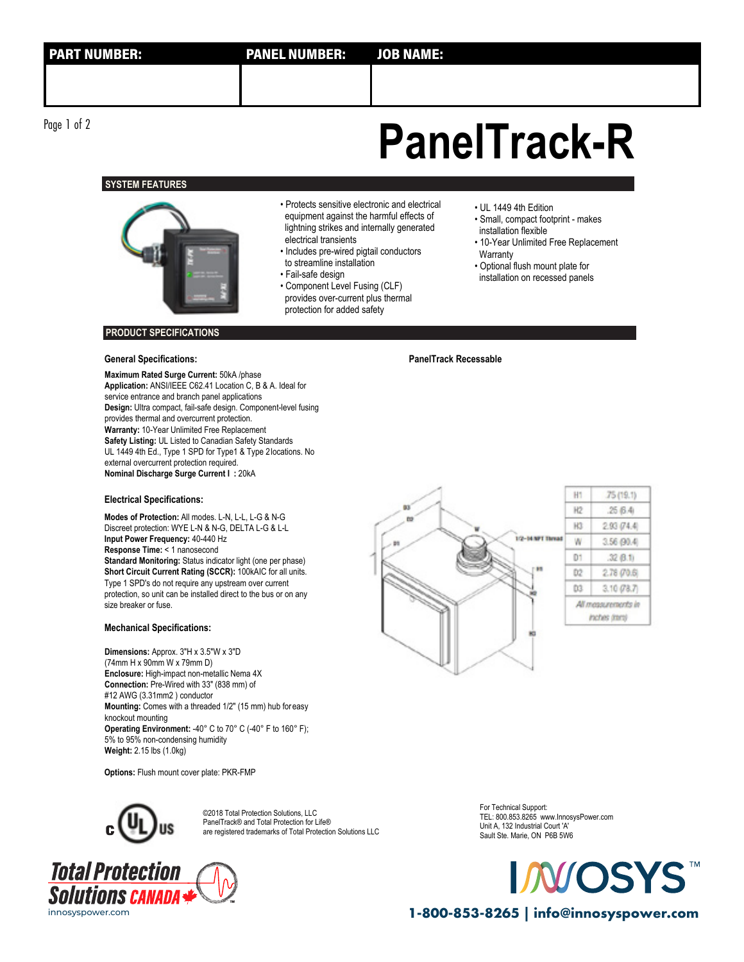**SYSTEM FEATURES**



#### • Protects sensitive electronic and electrical equipment against the harmful effects of lightning strikes and internally generated electrical transients

- Includes pre-wired pigtail conductors to streamline installation
- Fail-safe design
- Component Level Fusing (CLF) provides over-current plus thermal protection for added safety
- UL 1449 4th Edition
- Small, compact footprint makes installation flexible
- 10-Year Unlimited Free Replacement **Warranty**
- 
- Optional flush mount plate for installation on recessed panels

### **PRODUCT SPECIFICATIONS**

### **General Specifications: PanelTrack Recessable**

**Maximum Rated Surge Current:** 50kA /phase **Application:** ANSI/IEEE C62.41 Location C, B & A. Ideal for service entrance and branch panel applications **Design:** Ultra compact, fail-safe design. Component-level fusing provides thermal and overcurrent protection. **Warranty:** 10-Year Unlimited Free Replacement **Safety Listing:** UL Listed to Canadian Safety Standards UL 1449 4th Ed., Type 1 SPD for Type1 & Type 2locations. No external overcurrent protection required. **Nominal Discharge Surge Current I :** 20kA

#### **Electrical Specifications:**

**Modes of Protection:** All modes. L-N, L-L, L-G & N-G Discreet protection: WYE L-N & N-G, DELTA L-G & L-L **Input Power Frequency:** 40-440 Hz **Response Time:** < 1 nanosecond **Standard Monitoring:** Status indicator light (one per phase) **Short Circuit Current Rating (SCCR):** 100kAIC for all units. Type 1 SPD's do not require any upstream over current protection, so unit can be installed direct to the bus or on any size breaker or fuse.

## **Mechanical Specifications:**

**Dimensions:** Approx. 3"H x 3.5"W x 3"D (74mm H x 90mm W x 79mm D) **Enclosure:** High-impact non-metallic Nema 4X **Connection:** Pre-Wired with 33" (838 mm) of #12 AWG (3.31mm2 ) conductor **Mounting:** Comes with a threaded 1/2" (15 mm) hub foreasy knockout mounting **Operating Environment:** -40° C to 70° C (-40° F to 160° F); 5% to 95% non-condensing humidity **Weight:** 2.15 lbs (1.0kg)

**Options:** Flush mount cover plate: PKR-FMP



©2018 Total Protection Solutions, LLC PanelTrack® and Total Protection for Life® are registered trademarks of Total Protection Solutions LLC





For Technical Support: TEL: 800.853.8265 www.InnosysPower.com Unit A, 132 Industrial Court 'A' Sault Ste. Marie, ON P6B 5W6